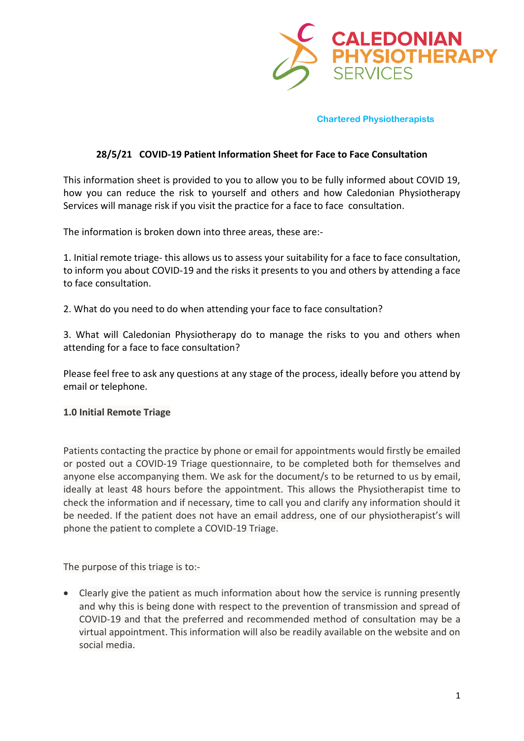

## **28/5/21 COVID-19 Patient Information Sheet for Face to Face Consultation**

This information sheet is provided to you to allow you to be fully informed about COVID 19, how you can reduce the risk to yourself and others and how Caledonian Physiotherapy Services will manage risk if you visit the practice for a face to face consultation.

The information is broken down into three areas, these are:-

1. Initial remote triage- this allows us to assess your suitability for a face to face consultation, to inform you about COVID-19 and the risks it presents to you and others by attending a face to face consultation.

2. What do you need to do when attending your face to face consultation?

3. What will Caledonian Physiotherapy do to manage the risks to you and others when attending for a face to face consultation?

Please feel free to ask any questions at any stage of the process, ideally before you attend by email or telephone.

### **1.0 Initial Remote Triage**

Patients contacting the practice by phone or email for appointments would firstly be emailed or posted out a COVID-19 Triage questionnaire, to be completed both for themselves and anyone else accompanying them. We ask for the document/s to be returned to us by email, ideally at least 48 hours before the appointment. This allows the Physiotherapist time to check the information and if necessary, time to call you and clarify any information should it be needed. If the patient does not have an email address, one of our physiotherapist's will phone the patient to complete a COVID-19 Triage.

The purpose of this triage is to:-

• Clearly give the patient as much information about how the service is running presently and why this is being done with respect to the prevention of transmission and spread of COVID-19 and that the preferred and recommended method of consultation may be a virtual appointment. This information will also be readily available on the website and on social media.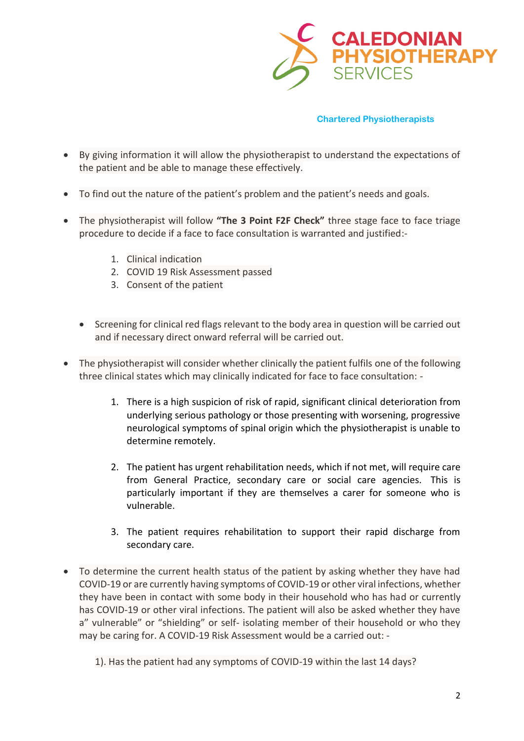

- By giving information it will allow the physiotherapist to understand the expectations of the patient and be able to manage these effectively.
- To find out the nature of the patient's problem and the patient's needs and goals.
- The physiotherapist will follow **"The 3 Point F2F Check"** three stage face to face triage procedure to decide if a face to face consultation is warranted and justified:-
	- 1. Clinical indication
	- 2. COVID 19 Risk Assessment passed
	- 3. Consent of the patient
	- Screening for clinical red flags relevant to the body area in question will be carried out and if necessary direct onward referral will be carried out.
- The physiotherapist will consider whether clinically the patient fulfils one of the following three clinical states which may clinically indicated for face to face consultation: -
	- 1. There is a high suspicion of risk of rapid, significant clinical deterioration from underlying serious pathology or those presenting with worsening, progressive neurological symptoms of spinal origin which the physiotherapist is unable to determine remotely.
	- 2. The patient has urgent rehabilitation needs, which if not met, will require care from General Practice, secondary care or social care agencies. This is particularly important if they are themselves a carer for someone who is vulnerable.
	- 3. The patient requires rehabilitation to support their rapid discharge from secondary care.
- To determine the current health status of the patient by asking whether they have had COVID-19 or are currently having symptoms of COVID-19 or other viral infections, whether they have been in contact with some body in their household who has had or currently has COVID-19 or other viral infections. The patient will also be asked whether they have a" vulnerable" or "shielding" or self- isolating member of their household or who they may be caring for. A COVID-19 Risk Assessment would be a carried out: -

<sup>1).</sup> Has the patient had any symptoms of COVID-19 within the last 14 days?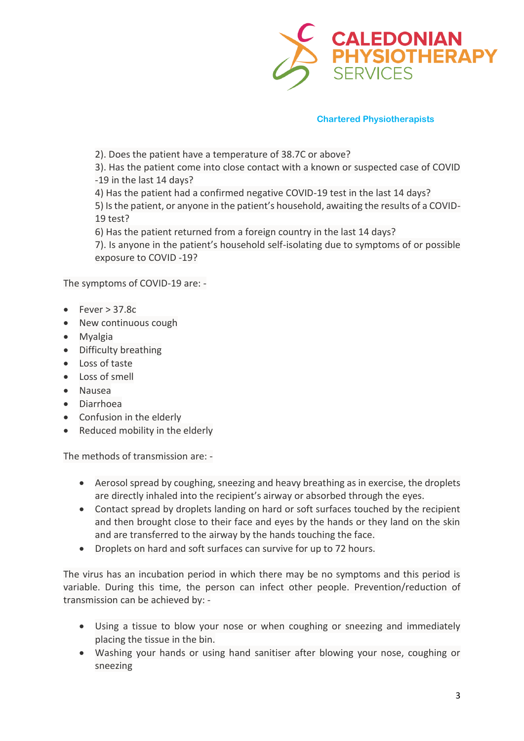

2). Does the patient have a temperature of 38.7C or above?

3). Has the patient come into close contact with a known or suspected case of COVID -19 in the last 14 days?

4) Has the patient had a confirmed negative COVID-19 test in the last 14 days? 5) Is the patient, or anyone in the patient's household, awaiting the results of a COVID-19 test?

6) Has the patient returned from a foreign country in the last 14 days?

7). Is anyone in the patient's household self-isolating due to symptoms of or possible exposure to COVID -19?

The symptoms of COVID-19 are: -

- $\epsilon$  Fever > 37.8c
- New continuous cough
- Myalgia
- Difficulty breathing
- Loss of taste
- Loss of smell
- Nausea
- Diarrhoea
- Confusion in the elderly
- Reduced mobility in the elderly

The methods of transmission are: -

- Aerosol spread by coughing, sneezing and heavy breathing as in exercise, the droplets are directly inhaled into the recipient's airway or absorbed through the eyes.
- Contact spread by droplets landing on hard or soft surfaces touched by the recipient and then brought close to their face and eyes by the hands or they land on the skin and are transferred to the airway by the hands touching the face.
- Droplets on hard and soft surfaces can survive for up to 72 hours.

The virus has an incubation period in which there may be no symptoms and this period is variable. During this time, the person can infect other people. Prevention/reduction of transmission can be achieved by: -

- Using a tissue to blow your nose or when coughing or sneezing and immediately placing the tissue in the bin.
- Washing your hands or using hand sanitiser after blowing your nose, coughing or sneezing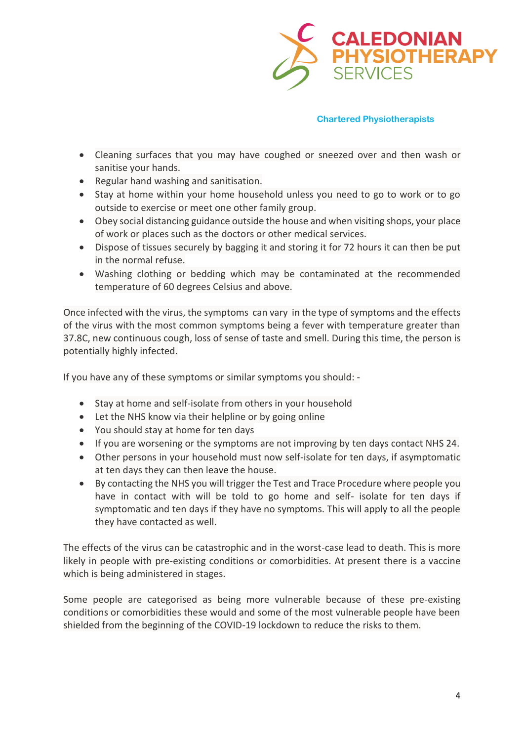

- Cleaning surfaces that you may have coughed or sneezed over and then wash or sanitise your hands.
- Regular hand washing and sanitisation.
- Stay at home within your home household unless you need to go to work or to go outside to exercise or meet one other family group.
- Obey social distancing guidance outside the house and when visiting shops, your place of work or places such as the doctors or other medical services.
- Dispose of tissues securely by bagging it and storing it for 72 hours it can then be put in the normal refuse.
- Washing clothing or bedding which may be contaminated at the recommended temperature of 60 degrees Celsius and above.

Once infected with the virus, the symptoms can vary in the type of symptoms and the effects of the virus with the most common symptoms being a fever with temperature greater than 37.8C, new continuous cough, loss of sense of taste and smell. During this time, the person is potentially highly infected.

If you have any of these symptoms or similar symptoms you should: -

- Stay at home and self-isolate from others in your household
- Let the NHS know via their helpline or by going online
- You should stay at home for ten days
- If you are worsening or the symptoms are not improving by ten days contact NHS 24.
- Other persons in your household must now self-isolate for ten days, if asymptomatic at ten days they can then leave the house.
- By contacting the NHS you will trigger the Test and Trace Procedure where people you have in contact with will be told to go home and self- isolate for ten days if symptomatic and ten days if they have no symptoms. This will apply to all the people they have contacted as well.

The effects of the virus can be catastrophic and in the worst-case lead to death. This is more likely in people with pre-existing conditions or comorbidities. At present there is a vaccine which is being administered in stages.

Some people are categorised as being more vulnerable because of these pre-existing conditions or comorbidities these would and some of the most vulnerable people have been shielded from the beginning of the COVID-19 lockdown to reduce the risks to them.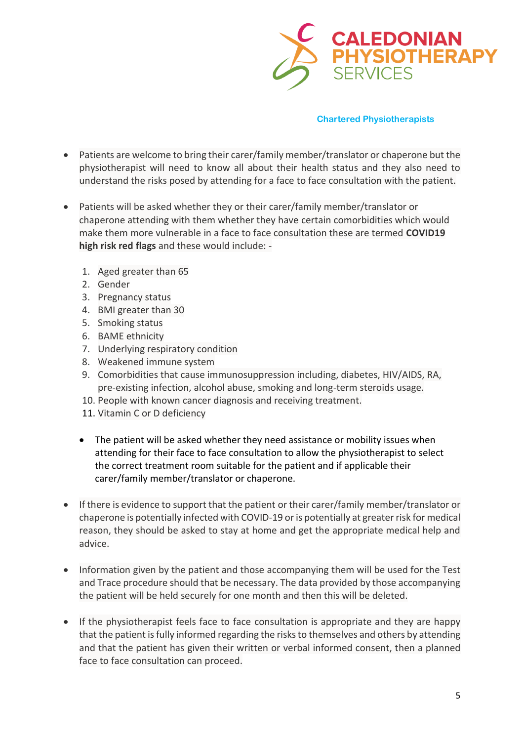

- Patients are welcome to bring their carer/family member/translator or chaperone but the physiotherapist will need to know all about their health status and they also need to understand the risks posed by attending for a face to face consultation with the patient.
- Patients will be asked whether they or their carer/family member/translator or chaperone attending with them whether they have certain comorbidities which would make them more vulnerable in a face to face consultation these are termed **COVID19 high risk red flags** and these would include: -
	- 1. Aged greater than 65
	- 2. Gender
	- 3. Pregnancy status
	- 4. BMI greater than 30
	- 5. Smoking status
	- 6. BAME ethnicity
	- 7. Underlying respiratory condition
	- 8. Weakened immune system
	- 9. Comorbidities that cause immunosuppression including, diabetes, HIV/AIDS, RA, pre-existing infection, alcohol abuse, smoking and long-term steroids usage.
	- 10. People with known cancer diagnosis and receiving treatment.
	- 11. Vitamin C or D deficiency
	- The patient will be asked whether they need assistance or mobility issues when attending for their face to face consultation to allow the physiotherapist to select the correct treatment room suitable for the patient and if applicable their carer/family member/translator or chaperone.
- If there is evidence to support that the patient or their carer/family member/translator or chaperone is potentially infected with COVID-19 or is potentially at greater risk for medical reason, they should be asked to stay at home and get the appropriate medical help and advice.
- Information given by the patient and those accompanying them will be used for the Test and Trace procedure should that be necessary. The data provided by those accompanying the patient will be held securely for one month and then this will be deleted.
- If the physiotherapist feels face to face consultation is appropriate and they are happy that the patient isfully informed regarding the risks to themselves and others by attending and that the patient has given their written or verbal informed consent, then a planned face to face consultation can proceed.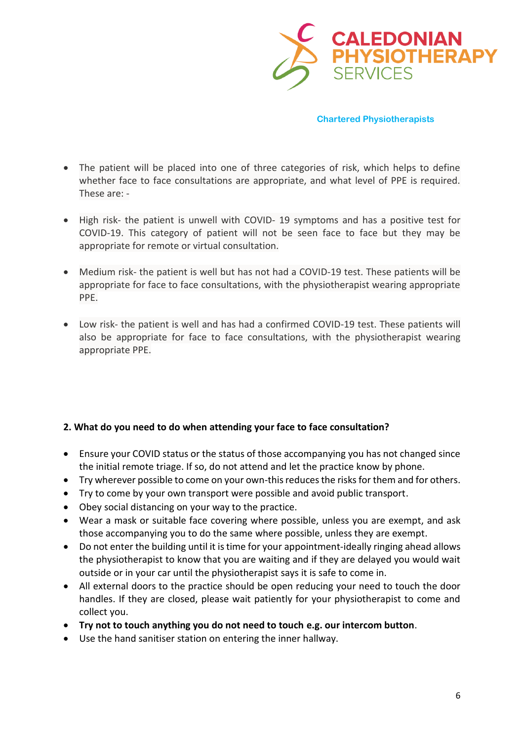

- The patient will be placed into one of three categories of risk, which helps to define whether face to face consultations are appropriate, and what level of PPE is required. These are: -
- High risk- the patient is unwell with COVID- 19 symptoms and has a positive test for COVID-19. This category of patient will not be seen face to face but they may be appropriate for remote or virtual consultation.
- Medium risk- the patient is well but has not had a COVID-19 test. These patients will be appropriate for face to face consultations, with the physiotherapist wearing appropriate PPE.
- Low risk- the patient is well and has had a confirmed COVID-19 test. These patients will also be appropriate for face to face consultations, with the physiotherapist wearing appropriate PPE.

# **2. What do you need to do when attending your face to face consultation?**

- Ensure your COVID status or the status of those accompanying you has not changed since the initial remote triage. If so, do not attend and let the practice know by phone.
- Try wherever possible to come on your own-this reduces the risks for them and for others.
- Try to come by your own transport were possible and avoid public transport.
- Obey social distancing on your way to the practice.
- Wear a mask or suitable face covering where possible, unless you are exempt, and ask those accompanying you to do the same where possible, unless they are exempt.
- Do not enter the building until it is time for your appointment-ideally ringing ahead allows the physiotherapist to know that you are waiting and if they are delayed you would wait outside or in your car until the physiotherapist says it is safe to come in.
- All external doors to the practice should be open reducing your need to touch the door handles. If they are closed, please wait patiently for your physiotherapist to come and collect you.
- **Try not to touch anything you do not need to touch e.g. our intercom button**.
- Use the hand sanitiser station on entering the inner hallway.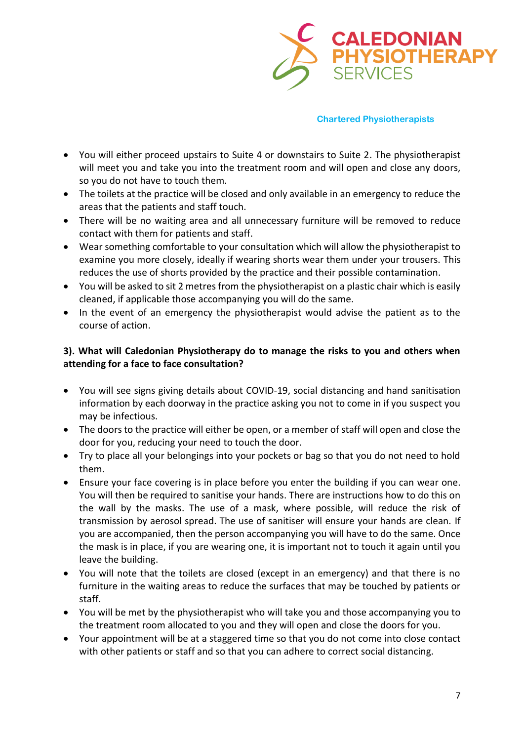

- You will either proceed upstairs to Suite 4 or downstairs to Suite 2. The physiotherapist will meet you and take you into the treatment room and will open and close any doors, so you do not have to touch them.
- The toilets at the practice will be closed and only available in an emergency to reduce the areas that the patients and staff touch.
- There will be no waiting area and all unnecessary furniture will be removed to reduce contact with them for patients and staff.
- Wear something comfortable to your consultation which will allow the physiotherapist to examine you more closely, ideally if wearing shorts wear them under your trousers. This reduces the use of shorts provided by the practice and their possible contamination.
- You will be asked to sit 2 metres from the physiotherapist on a plastic chair which is easily cleaned, if applicable those accompanying you will do the same.
- In the event of an emergency the physiotherapist would advise the patient as to the course of action.

# **3). What will Caledonian Physiotherapy do to manage the risks to you and others when attending for a face to face consultation?**

- You will see signs giving details about COVID-19, social distancing and hand sanitisation information by each doorway in the practice asking you not to come in if you suspect you may be infectious.
- The doors to the practice will either be open, or a member of staff will open and close the door for you, reducing your need to touch the door.
- Try to place all your belongings into your pockets or bag so that you do not need to hold them.
- Ensure your face covering is in place before you enter the building if you can wear one. You will then be required to sanitise your hands. There are instructions how to do this on the wall by the masks. The use of a mask, where possible, will reduce the risk of transmission by aerosol spread. The use of sanitiser will ensure your hands are clean. If you are accompanied, then the person accompanying you will have to do the same. Once the mask is in place, if you are wearing one, it is important not to touch it again until you leave the building.
- You will note that the toilets are closed (except in an emergency) and that there is no furniture in the waiting areas to reduce the surfaces that may be touched by patients or staff.
- You will be met by the physiotherapist who will take you and those accompanying you to the treatment room allocated to you and they will open and close the doors for you.
- Your appointment will be at a staggered time so that you do not come into close contact with other patients or staff and so that you can adhere to correct social distancing.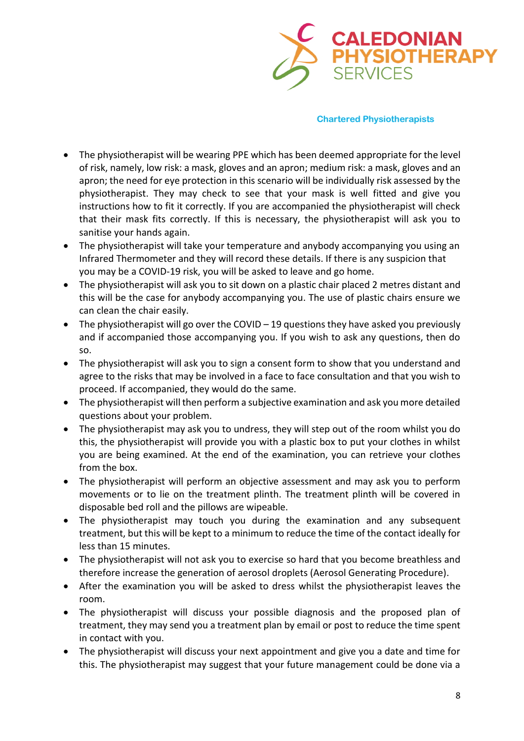

- The physiotherapist will be wearing PPE which has been deemed appropriate for the level of risk, namely, low risk: a mask, gloves and an apron; medium risk: a mask, gloves and an apron; the need for eye protection in this scenario will be individually risk assessed by the physiotherapist. They may check to see that your mask is well fitted and give you instructions how to fit it correctly. If you are accompanied the physiotherapist will check that their mask fits correctly. If this is necessary, the physiotherapist will ask you to sanitise your hands again.
- The physiotherapist will take your temperature and anybody accompanying you using an Infrared Thermometer and they will record these details. If there is any suspicion that you may be a COVID-19 risk, you will be asked to leave and go home.
- The physiotherapist will ask you to sit down on a plastic chair placed 2 metres distant and this will be the case for anybody accompanying you. The use of plastic chairs ensure we can clean the chair easily.
- The physiotherapist will go over the COVID 19 questions they have asked you previously and if accompanied those accompanying you. If you wish to ask any questions, then do so.
- The physiotherapist will ask you to sign a consent form to show that you understand and agree to the risks that may be involved in a face to face consultation and that you wish to proceed. If accompanied, they would do the same.
- The physiotherapist will then perform a subjective examination and ask you more detailed questions about your problem.
- The physiotherapist may ask you to undress, they will step out of the room whilst you do this, the physiotherapist will provide you with a plastic box to put your clothes in whilst you are being examined. At the end of the examination, you can retrieve your clothes from the box.
- The physiotherapist will perform an objective assessment and may ask you to perform movements or to lie on the treatment plinth. The treatment plinth will be covered in disposable bed roll and the pillows are wipeable.
- The physiotherapist may touch you during the examination and any subsequent treatment, but this will be kept to a minimum to reduce the time of the contact ideally for less than 15 minutes.
- The physiotherapist will not ask you to exercise so hard that you become breathless and therefore increase the generation of aerosol droplets (Aerosol Generating Procedure).
- After the examination you will be asked to dress whilst the physiotherapist leaves the room.
- The physiotherapist will discuss your possible diagnosis and the proposed plan of treatment, they may send you a treatment plan by email or post to reduce the time spent in contact with you.
- The physiotherapist will discuss your next appointment and give you a date and time for this. The physiotherapist may suggest that your future management could be done via a